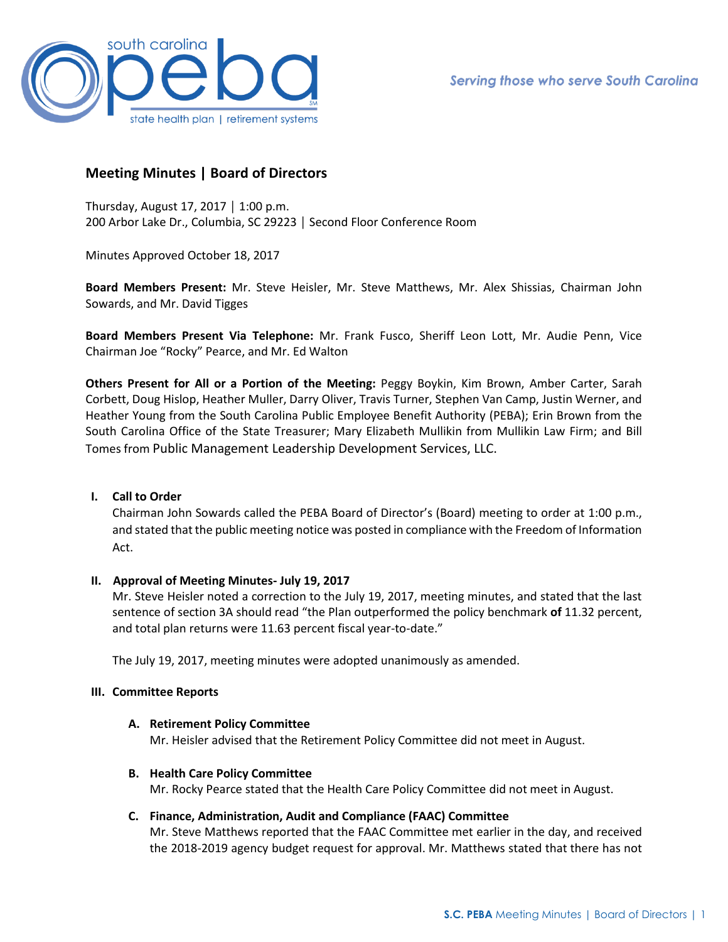

# **Meeting Minutes | Board of Directors**

Thursday, August 17, 2017 │ 1:00 p.m. 200 Arbor Lake Dr., Columbia, SC 29223 │ Second Floor Conference Room

Minutes Approved October 18, 2017

**Board Members Present:** Mr. Steve Heisler, Mr. Steve Matthews, Mr. Alex Shissias, Chairman John Sowards, and Mr. David Tigges

**Board Members Present Via Telephone:** Mr. Frank Fusco, Sheriff Leon Lott, Mr. Audie Penn, Vice Chairman Joe "Rocky" Pearce, and Mr. Ed Walton

**Others Present for All or a Portion of the Meeting:** Peggy Boykin, Kim Brown, Amber Carter, Sarah Corbett, Doug Hislop, Heather Muller, Darry Oliver, Travis Turner, Stephen Van Camp, Justin Werner, and Heather Young from the South Carolina Public Employee Benefit Authority (PEBA); Erin Brown from the South Carolina Office of the State Treasurer; Mary Elizabeth Mullikin from Mullikin Law Firm; and Bill Tomes from Public Management Leadership Development Services, LLC.

### **I. Call to Order**

Chairman John Sowards called the PEBA Board of Director's (Board) meeting to order at 1:00 p.m., and stated that the public meeting notice was posted in compliance with the Freedom of Information Act.

### **II. Approval of Meeting Minutes- July 19, 2017**

Mr. Steve Heisler noted a correction to the July 19, 2017, meeting minutes, and stated that the last sentence of section 3A should read "the Plan outperformed the policy benchmark **of** 11.32 percent, and total plan returns were 11.63 percent fiscal year-to-date."

The July 19, 2017, meeting minutes were adopted unanimously as amended.

### **III. Committee Reports**

### **A. Retirement Policy Committee**

Mr. Heisler advised that the Retirement Policy Committee did not meet in August.

### **B. Health Care Policy Committee**

Mr. Rocky Pearce stated that the Health Care Policy Committee did not meet in August.

### **C. Finance, Administration, Audit and Compliance (FAAC) Committee**

Mr. Steve Matthews reported that the FAAC Committee met earlier in the day, and received the 2018-2019 agency budget request for approval. Mr. Matthews stated that there has not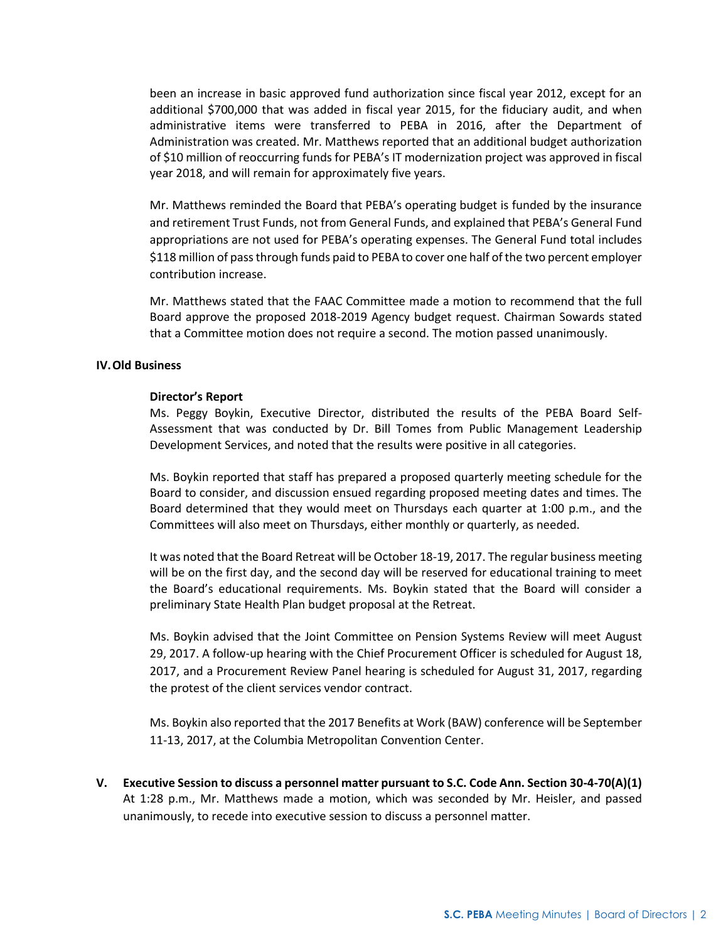been an increase in basic approved fund authorization since fiscal year 2012, except for an additional \$700,000 that was added in fiscal year 2015, for the fiduciary audit, and when administrative items were transferred to PEBA in 2016, after the Department of Administration was created. Mr. Matthews reported that an additional budget authorization of \$10 million of reoccurring funds for PEBA's IT modernization project was approved in fiscal year 2018, and will remain for approximately five years.

Mr. Matthews reminded the Board that PEBA's operating budget is funded by the insurance and retirement Trust Funds, not from General Funds, and explained that PEBA's General Fund appropriations are not used for PEBA's operating expenses. The General Fund total includes \$118 million of pass through funds paid to PEBA to cover one half of the two percent employer contribution increase.

Mr. Matthews stated that the FAAC Committee made a motion to recommend that the full Board approve the proposed 2018-2019 Agency budget request. Chairman Sowards stated that a Committee motion does not require a second. The motion passed unanimously.

### **IV.Old Business**

#### **Director's Report**

Ms. Peggy Boykin, Executive Director, distributed the results of the PEBA Board Self-Assessment that was conducted by Dr. Bill Tomes from Public Management Leadership Development Services, and noted that the results were positive in all categories.

Ms. Boykin reported that staff has prepared a proposed quarterly meeting schedule for the Board to consider, and discussion ensued regarding proposed meeting dates and times. The Board determined that they would meet on Thursdays each quarter at 1:00 p.m., and the Committees will also meet on Thursdays, either monthly or quarterly, as needed.

It was noted that the Board Retreat will be October 18-19, 2017. The regular business meeting will be on the first day, and the second day will be reserved for educational training to meet the Board's educational requirements. Ms. Boykin stated that the Board will consider a preliminary State Health Plan budget proposal at the Retreat.

Ms. Boykin advised that the Joint Committee on Pension Systems Review will meet August 29, 2017. A follow-up hearing with the Chief Procurement Officer is scheduled for August 18, 2017, and a Procurement Review Panel hearing is scheduled for August 31, 2017, regarding the protest of the client services vendor contract.

Ms. Boykin also reported that the 2017 Benefits at Work (BAW) conference will be September 11-13, 2017, at the Columbia Metropolitan Convention Center.

**V. Executive Session to discuss a personnel matter pursuant to S.C. Code Ann. Section 30-4-70(A)(1)** At 1:28 p.m., Mr. Matthews made a motion, which was seconded by Mr. Heisler, and passed unanimously, to recede into executive session to discuss a personnel matter.